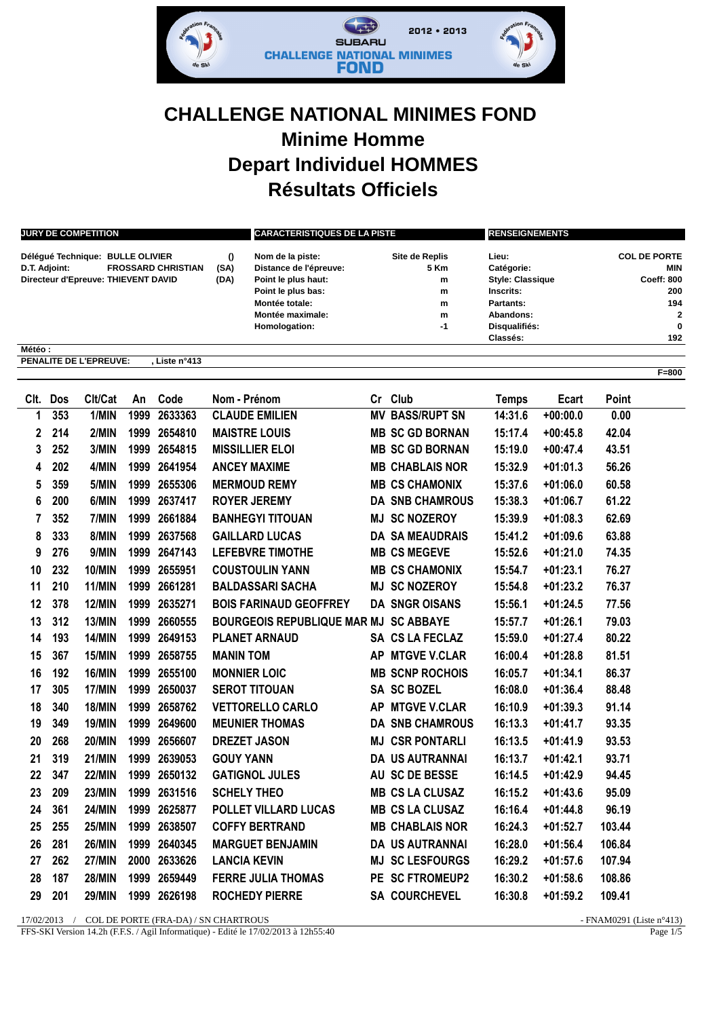

## **CHALLENGE NATIONAL MINIMES FOND Minime Homme Depart Individuel HOMMES Résultats Officiels**

| <b>JURY DE COMPETITION</b><br>$\theta$<br>Délégué Technique: BULLE OLIVIER<br><b>FROSSARD CHRISTIAN</b><br>D.T. Adjoint:<br>(SA)<br>Directeur d'Epreuve: THIEVENT DAVID<br>(DA) |     |                               |      |               |                     | <b>CARACTERISTIQUES DE LA PISTE</b>                                                                                                            |           |                                                  | <b>RENSEIGNEMENTS</b>                                                                                                            |            |                                                                                      |           |
|---------------------------------------------------------------------------------------------------------------------------------------------------------------------------------|-----|-------------------------------|------|---------------|---------------------|------------------------------------------------------------------------------------------------------------------------------------------------|-----------|--------------------------------------------------|----------------------------------------------------------------------------------------------------------------------------------|------------|--------------------------------------------------------------------------------------|-----------|
|                                                                                                                                                                                 |     |                               |      |               |                     | Nom de la piste:<br>Distance de l'épreuve:<br>Point le plus haut:<br>Point le plus bas:<br>Montée totale:<br>Montée maximale:<br>Homologation: |           | Site de Replis<br>5 Km<br>m<br>m<br>m<br>m<br>-1 | Lieu:<br><b>Catégorie:</b><br><b>Style: Classique</b><br>Inscrits:<br>Partants:<br>Abandons:<br>Disqualifiés:<br><b>Classés:</b> |            | <b>COL DE PORTE</b><br>MIN<br>Coeff: 800<br>200<br>194<br>$\overline{a}$<br>0<br>192 |           |
| Météo:                                                                                                                                                                          |     | <b>PENALITE DE L'EPREUVE:</b> |      | , Liste n°413 |                     |                                                                                                                                                |           |                                                  |                                                                                                                                  |            |                                                                                      |           |
|                                                                                                                                                                                 |     |                               |      |               |                     |                                                                                                                                                |           |                                                  |                                                                                                                                  |            |                                                                                      | $F = 800$ |
| CIt.                                                                                                                                                                            | Dos | Clt/Cat                       | An   | Code          | Nom - Prénom        |                                                                                                                                                |           | Cr Club                                          | <b>Temps</b>                                                                                                                     | Ecart      | Point                                                                                |           |
| 1                                                                                                                                                                               | 353 | 1/MIN                         | 1999 | 2633363       |                     | <b>CLAUDE EMILIEN</b>                                                                                                                          |           | <b>MV BASS/RUPT SN</b>                           | 14:31.6                                                                                                                          | $+00:00.0$ | 0.00                                                                                 |           |
| 2                                                                                                                                                                               | 214 | 2/MIN                         | 1999 | 2654810       |                     | <b>MAISTRE LOUIS</b>                                                                                                                           |           | <b>MB SC GD BORNAN</b>                           | 15:17.4                                                                                                                          | $+00:45.8$ | 42.04                                                                                |           |
| 3                                                                                                                                                                               | 252 | 3/MIN                         | 1999 | 2654815       |                     | <b>MISSILLIER ELOI</b>                                                                                                                         |           | <b>MB SC GD BORNAN</b>                           | 15:19.0                                                                                                                          | $+00:47.4$ | 43.51                                                                                |           |
| 4                                                                                                                                                                               | 202 | 4/MIN                         | 1999 | 2641954       |                     | <b>ANCEY MAXIME</b>                                                                                                                            |           | <b>MB CHABLAIS NOR</b>                           | 15:32.9                                                                                                                          | $+01:01.3$ | 56.26                                                                                |           |
| 5                                                                                                                                                                               | 359 | 5/MIN                         | 1999 | 2655306       |                     | <b>MERMOUD REMY</b>                                                                                                                            |           | <b>MB CS CHAMONIX</b>                            | 15:37.6                                                                                                                          | $+01:06.0$ | 60.58                                                                                |           |
| 6                                                                                                                                                                               | 200 | 6/MIN                         | 1999 | 2637417       |                     | <b>ROYER JEREMY</b>                                                                                                                            |           | <b>DA SNB CHAMROUS</b>                           | 15:38.3                                                                                                                          | $+01:06.7$ | 61.22                                                                                |           |
| 7                                                                                                                                                                               | 352 | 7/MIN                         | 1999 | 2661884       |                     | <b>BANHEGYI TITOUAN</b>                                                                                                                        |           | <b>MJ SC NOZEROY</b>                             | 15:39.9                                                                                                                          | $+01:08.3$ | 62.69                                                                                |           |
| 8                                                                                                                                                                               | 333 | 8/MIN                         | 1999 | 2637568       |                     | <b>GAILLARD LUCAS</b>                                                                                                                          |           | <b>DA SA MEAUDRAIS</b>                           | 15:41.2                                                                                                                          | $+01:09.6$ | 63.88                                                                                |           |
| 9                                                                                                                                                                               | 276 | 9/MIN                         | 1999 | 2647143       |                     | <b>LEFEBVRE TIMOTHE</b>                                                                                                                        |           | <b>MB CS MEGEVE</b>                              | 15:52.6                                                                                                                          | $+01:21.0$ | 74.35                                                                                |           |
| 10                                                                                                                                                                              | 232 | <b>10/MIN</b>                 | 1999 | 2655951       |                     | <b>COUSTOULIN YANN</b>                                                                                                                         |           | <b>MB CS CHAMONIX</b>                            | 15:54.7                                                                                                                          | $+01:23.1$ | 76.27                                                                                |           |
| 11                                                                                                                                                                              | 210 | 11/MIN                        | 1999 | 2661281       |                     | <b>BALDASSARI SACHA</b>                                                                                                                        | MJ        | <b>SC NOZEROY</b>                                | 15:54.8                                                                                                                          | $+01:23.2$ | 76.37                                                                                |           |
| 12                                                                                                                                                                              | 378 | <b>12/MIN</b>                 | 1999 | 2635271       |                     | <b>BOIS FARINAUD GEOFFREY</b>                                                                                                                  |           | <b>DA SNGR OISANS</b>                            | 15:56.1                                                                                                                          | $+01:24.5$ | 77.56                                                                                |           |
| 13                                                                                                                                                                              | 312 | 13/MIN                        | 1999 | 2660555       |                     | <b>BOURGEOIS REPUBLIQUE MAR MJ</b>                                                                                                             |           | <b>SC ABBAYE</b>                                 | 15:57.7                                                                                                                          | $+01:26.1$ | 79.03                                                                                |           |
| 14                                                                                                                                                                              | 193 | <b>14/MIN</b>                 | 1999 | 2649153       |                     | <b>PLANET ARNAUD</b>                                                                                                                           |           | SA CS LA FECLAZ                                  | 15:59.0                                                                                                                          | $+01:27.4$ | 80.22                                                                                |           |
| 15                                                                                                                                                                              | 367 | <b>15/MIN</b>                 | 1999 | 2658755       | <b>MANIN TOM</b>    |                                                                                                                                                | <b>AP</b> | <b>MTGVE V.CLAR</b>                              | 16:00.4                                                                                                                          | $+01:28.8$ | 81.51                                                                                |           |
| 16                                                                                                                                                                              | 192 | <b>16/MIN</b>                 | 1999 | 2655100       | <b>MONNIER LOIC</b> |                                                                                                                                                |           | <b>MB SCNP ROCHOIS</b>                           | 16:05.7                                                                                                                          | $+01:34.1$ | 86.37                                                                                |           |
| 17                                                                                                                                                                              | 305 | 17/MIN                        | 1999 | 2650037       |                     | <b>SEROT TITOUAN</b>                                                                                                                           |           | <b>SA SC BOZEL</b>                               | 16:08.0                                                                                                                          | $+01:36.4$ | 88.48                                                                                |           |
| 18                                                                                                                                                                              | 340 | <b>18/MIN</b>                 | 1999 | 2658762       |                     | <b>VETTORELLO CARLO</b>                                                                                                                        | AP        | <b>MTGVE V.CLAR</b>                              | 16:10.9                                                                                                                          | $+01:39.3$ | 91.14                                                                                |           |
| 19                                                                                                                                                                              | 349 | <b>19/MIN</b>                 | 1999 | 2649600       |                     | <b>MEUNIER THOMAS</b>                                                                                                                          |           | <b>DA SNB CHAMROUS</b>                           | 16:13.3                                                                                                                          | $+01:41.7$ | 93.35                                                                                |           |
| 20                                                                                                                                                                              | 268 | <b>20/MIN</b>                 | 1999 | 2656607       |                     | <b>DREZET JASON</b>                                                                                                                            | MJ        | <b>CSR PONTARLI</b>                              | 16:13.5                                                                                                                          | $+01:41.9$ | 93.53                                                                                |           |
| 21                                                                                                                                                                              | 319 | <b>21/MIN</b>                 |      | 1999 2639053  | <b>GOUY YANN</b>    |                                                                                                                                                |           | <b>DA US AUTRANNAI</b>                           | 16:13.7                                                                                                                          | $+01:42.1$ | 93.71                                                                                |           |
| 22                                                                                                                                                                              | 347 | <b>22/MIN</b>                 |      | 1999 2650132  |                     | <b>GATIGNOL JULES</b>                                                                                                                          |           | AU SC DE BESSE                                   | 16:14.5                                                                                                                          | $+01:42.9$ | 94.45                                                                                |           |
| 23                                                                                                                                                                              | 209 | <b>23/MIN</b>                 |      | 1999 2631516  | <b>SCHELY THEO</b>  |                                                                                                                                                |           | <b>MB CS LA CLUSAZ</b>                           | 16:15.2                                                                                                                          | $+01:43.6$ | 95.09                                                                                |           |
| 24                                                                                                                                                                              | 361 | <b>24/MIN</b>                 |      | 1999 2625877  |                     | POLLET VILLARD LUCAS                                                                                                                           |           | <b>MB CS LA CLUSAZ</b>                           | 16:16.4                                                                                                                          | $+01:44.8$ | 96.19                                                                                |           |
| 25                                                                                                                                                                              | 255 | <b>25/MIN</b>                 |      | 1999 2638507  |                     | <b>COFFY BERTRAND</b>                                                                                                                          |           | <b>MB CHABLAIS NOR</b>                           | 16:24.3                                                                                                                          | $+01:52.7$ | 103.44                                                                               |           |
| 26                                                                                                                                                                              | 281 | <b>26/MIN</b>                 |      | 1999 2640345  |                     | <b>MARGUET BENJAMIN</b>                                                                                                                        |           | DA US AUTRANNAI                                  | 16:28.0                                                                                                                          | $+01:56.4$ | 106.84                                                                               |           |
| 27                                                                                                                                                                              | 262 | <b>27/MIN</b>                 |      | 2000 2633626  | <b>LANCIA KEVIN</b> |                                                                                                                                                |           | <b>MJ SC LESFOURGS</b>                           | 16:29.2                                                                                                                          | $+01:57.6$ | 107.94                                                                               |           |
| 28                                                                                                                                                                              | 187 | <b>28/MIN</b>                 |      | 1999 2659449  |                     | <b>FERRE JULIA THOMAS</b>                                                                                                                      |           | PE SC FTROMEUP2                                  | 16:30.2                                                                                                                          | $+01:58.6$ | 108.86                                                                               |           |
| 29                                                                                                                                                                              | 201 | <b>29/MIN</b>                 |      | 1999 2626198  |                     | <b>ROCHEDY PIERRE</b>                                                                                                                          |           | SA COURCHEVEL                                    | 16:30.8                                                                                                                          | $+01:59.2$ | 109.41                                                                               |           |

17/02/2013 / COL DE PORTE (FRA-DA) / SN CHARTROUS - FNAM0291 (Liste n°413)<br>FFS-SKI Version 14.2h (F.F.S. / Agil Informatique) - Edité le 17/02/2013 à 12h55:40 Page 1/5 FFS-SKI Version 14.2h (F.F.S. / Agil Informatique) - Edité le 17/02/2013 à 12h55:40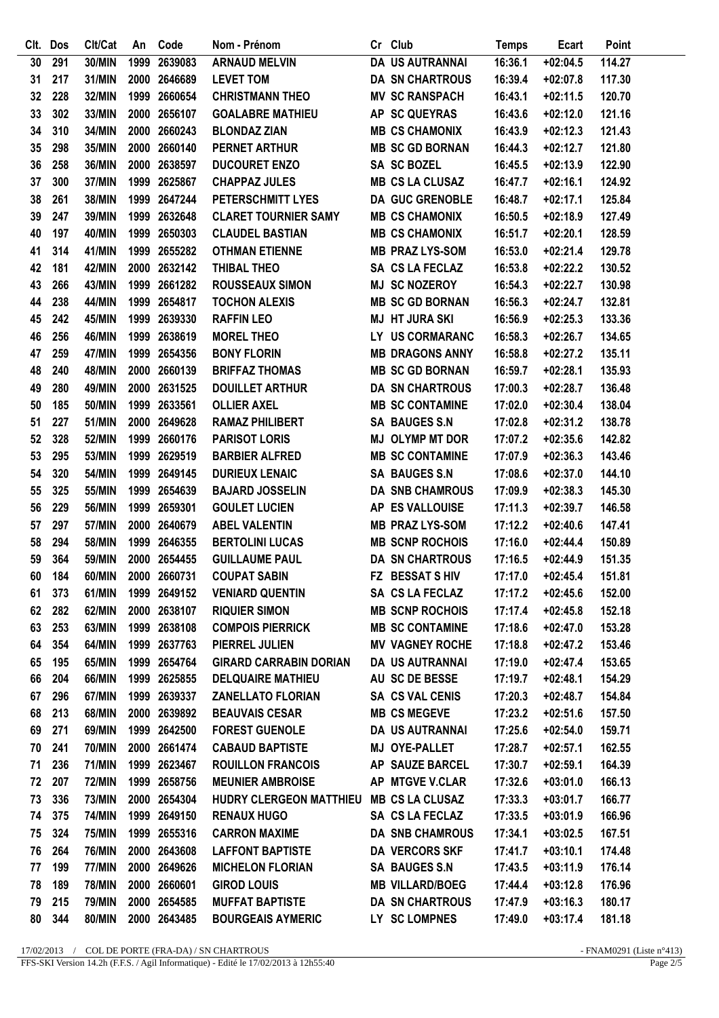|    | Clt. Dos | Clt/Cat       | An | Code         | Nom - Prénom                  | Cr Club                | <b>Temps</b> | Ecart      | Point  |
|----|----------|---------------|----|--------------|-------------------------------|------------------------|--------------|------------|--------|
| 30 | 291      | 30/MIN        |    | 1999 2639083 | <b>ARNAUD MELVIN</b>          | <b>DA US AUTRANNAI</b> | 16:36.1      | $+02:04.5$ | 114.27 |
| 31 | 217      | 31/MIN        |    | 2000 2646689 | <b>LEVET TOM</b>              | <b>DA SN CHARTROUS</b> | 16:39.4      | $+02:07.8$ | 117.30 |
| 32 | 228      | <b>32/MIN</b> |    | 1999 2660654 | <b>CHRISTMANN THEO</b>        | <b>MV SC RANSPACH</b>  | 16:43.1      | $+02:11.5$ | 120.70 |
| 33 | 302      | 33/MIN        |    | 2000 2656107 | <b>GOALABRE MATHIEU</b>       | AP SC QUEYRAS          | 16:43.6      | $+02:12.0$ | 121.16 |
| 34 | 310      | 34/MIN        |    | 2000 2660243 | <b>BLONDAZ ZIAN</b>           | <b>MB CS CHAMONIX</b>  | 16:43.9      | $+02:12.3$ | 121.43 |
| 35 | 298      | 35/MIN        |    | 2000 2660140 | <b>PERNET ARTHUR</b>          | <b>MB SC GD BORNAN</b> | 16:44.3      | $+02:12.7$ | 121.80 |
| 36 | 258      | 36/MIN        |    | 2000 2638597 | <b>DUCOURET ENZO</b>          | <b>SA SC BOZEL</b>     | 16:45.5      | $+02:13.9$ | 122.90 |
| 37 | 300      | 37/MIN        |    | 1999 2625867 | <b>CHAPPAZ JULES</b>          | <b>MB CS LA CLUSAZ</b> | 16:47.7      | $+02:16.1$ | 124.92 |
| 38 | 261      | <b>38/MIN</b> |    | 1999 2647244 | PETERSCHMITT LYES             | <b>DA GUC GRENOBLE</b> | 16:48.7      | $+02:17.1$ | 125.84 |
| 39 | 247      | 39/MIN        |    | 1999 2632648 | <b>CLARET TOURNIER SAMY</b>   | <b>MB CS CHAMONIX</b>  | 16:50.5      | $+02:18.9$ | 127.49 |
| 40 | 197      | 40/MIN        |    | 1999 2650303 | <b>CLAUDEL BASTIAN</b>        | <b>MB CS CHAMONIX</b>  | 16:51.7      | $+02:20.1$ | 128.59 |
| 41 | 314      | 41/MIN        |    | 1999 2655282 | <b>OTHMAN ETIENNE</b>         | <b>MB PRAZ LYS-SOM</b> | 16:53.0      | $+02:21.4$ | 129.78 |
| 42 | 181      | 42/MIN        |    | 2000 2632142 | <b>THIBAL THEO</b>            | SA CS LA FECLAZ        | 16:53.8      | $+02:22.2$ | 130.52 |
| 43 | 266      | 43/MIN        |    | 1999 2661282 | <b>ROUSSEAUX SIMON</b>        | <b>MJ SC NOZEROY</b>   | 16:54.3      | $+02:22.7$ | 130.98 |
| 44 | 238      | 44/MIN        |    | 1999 2654817 | <b>TOCHON ALEXIS</b>          | <b>MB SC GD BORNAN</b> | 16:56.3      | $+02:24.7$ | 132.81 |
| 45 | 242      | 45/MIN        |    | 1999 2639330 | <b>RAFFIN LEO</b>             | <b>MJ HT JURA SKI</b>  | 16:56.9      | $+02:25.3$ | 133.36 |
| 46 | 256      | 46/MIN        |    | 1999 2638619 | <b>MOREL THEO</b>             | LY US CORMARANC        | 16:58.3      | $+02:26.7$ | 134.65 |
| 47 | 259      | 47/MIN        |    | 1999 2654356 | <b>BONY FLORIN</b>            | <b>MB DRAGONS ANNY</b> | 16:58.8      | $+02:27.2$ | 135.11 |
| 48 | 240      | <b>48/MIN</b> |    | 2000 2660139 | <b>BRIFFAZ THOMAS</b>         | <b>MB SC GD BORNAN</b> | 16:59.7      | $+02:28.1$ | 135.93 |
| 49 | 280      | 49/MIN        |    | 2000 2631525 | <b>DOUILLET ARTHUR</b>        | <b>DA SN CHARTROUS</b> | 17:00.3      | $+02:28.7$ | 136.48 |
| 50 | 185      | 50/MIN        |    | 1999 2633561 | <b>OLLIER AXEL</b>            | <b>MB SC CONTAMINE</b> | 17:02.0      | $+02:30.4$ | 138.04 |
| 51 | 227      | 51/MIN        |    | 2000 2649628 | <b>RAMAZ PHILIBERT</b>        | <b>SA BAUGES S.N</b>   | 17:02.8      | $+02:31.2$ | 138.78 |
| 52 | 328      | 52/MIN        |    | 1999 2660176 | <b>PARISOT LORIS</b>          | <b>MJ OLYMP MT DOR</b> | 17:07.2      | $+02:35.6$ | 142.82 |
| 53 | 295      | 53/MIN        |    | 1999 2629519 | <b>BARBIER ALFRED</b>         | <b>MB SC CONTAMINE</b> | 17:07.9      | $+02:36.3$ | 143.46 |
| 54 | 320      | 54/MIN        |    | 1999 2649145 | <b>DURIEUX LENAIC</b>         | <b>SA BAUGES S.N</b>   | 17:08.6      | $+02:37.0$ | 144.10 |
| 55 | 325      | 55/MIN        |    | 1999 2654639 | <b>BAJARD JOSSELIN</b>        | <b>DA SNB CHAMROUS</b> | 17:09.9      | $+02:38.3$ | 145.30 |
| 56 | 229      | 56/MIN        |    | 1999 2659301 | <b>GOULET LUCIEN</b>          | AP ES VALLOUISE        | 17:11.3      | $+02:39.7$ | 146.58 |
| 57 | 297      | 57/MIN        |    | 2000 2640679 | <b>ABEL VALENTIN</b>          | <b>MB PRAZ LYS-SOM</b> | 17:12.2      | $+02:40.6$ | 147.41 |
| 58 | 294      | <b>58/MIN</b> |    | 1999 2646355 | <b>BERTOLINI LUCAS</b>        | <b>MB SCNP ROCHOIS</b> | 17:16.0      | $+02:44.4$ | 150.89 |
| 59 | 364      | 59/MIN        |    | 2000 2654455 | <b>GUILLAUME PAUL</b>         | <b>DA SN CHARTROUS</b> | 17:16.5      | $+02:44.9$ | 151.35 |
| 60 | 184      | 60/MIN        |    | 2000 2660731 | <b>COUPAT SABIN</b>           | FZ BESSAT SHIV         | 17:17.0      | $+02:45.4$ | 151.81 |
| 61 | 373      | 61/MIN        |    | 1999 2649152 | <b>VENIARD QUENTIN</b>        | SA CS LA FECLAZ        | 17:17.2      | $+02:45.6$ | 152.00 |
| 62 | 282      | 62/MIN        |    | 2000 2638107 | <b>RIQUIER SIMON</b>          | <b>MB SCNP ROCHOIS</b> | 17:17.4      | $+02:45.8$ | 152.18 |
| 63 | 253      | 63/MIN        |    | 1999 2638108 | <b>COMPOIS PIERRICK</b>       | <b>MB SC CONTAMINE</b> | 17:18.6      | $+02:47.0$ | 153.28 |
| 64 | 354      | 64/MIN        |    | 1999 2637763 | PIERREL JULIEN                | <b>MV VAGNEY ROCHE</b> | 17:18.8      | $+02:47.2$ | 153.46 |
| 65 | 195      | 65/MIN        |    | 1999 2654764 | <b>GIRARD CARRABIN DORIAN</b> | <b>DA US AUTRANNAI</b> | 17:19.0      | $+02:47.4$ | 153.65 |
| 66 | 204      | 66/MIN        |    | 1999 2625855 | <b>DELQUAIRE MATHIEU</b>      | AU SC DE BESSE         | 17:19.7      | $+02:48.1$ | 154.29 |
| 67 | 296      | 67/MIN        |    | 1999 2639337 | <b>ZANELLATO FLORIAN</b>      | SA CS VAL CENIS        | 17:20.3      | $+02:48.7$ | 154.84 |
| 68 | 213      | 68/MIN        |    | 2000 2639892 | <b>BEAUVAIS CESAR</b>         | <b>MB CS MEGEVE</b>    | 17:23.2      | $+02:51.6$ | 157.50 |
| 69 | 271      | 69/MIN        |    | 1999 2642500 | <b>FOREST GUENOLE</b>         | DA US AUTRANNAI        | 17:25.6      | $+02:54.0$ | 159.71 |
| 70 | 241      | <b>70/MIN</b> |    | 2000 2661474 | <b>CABAUD BAPTISTE</b>        | MJ OYE-PALLET          | 17:28.7      | $+02:57.1$ | 162.55 |
| 71 | 236      | <b>71/MIN</b> |    | 1999 2623467 | <b>ROUILLON FRANCOIS</b>      | AP SAUZE BARCEL        | 17:30.7      | $+02:59.1$ | 164.39 |
| 72 | 207      | <b>72/MIN</b> |    | 1999 2658756 | <b>MEUNIER AMBROISE</b>       | AP MTGVE V.CLAR        | 17:32.6      | $+03:01.0$ | 166.13 |
| 73 | 336      | <b>73/MIN</b> |    | 2000 2654304 | HUDRY CLERGEON MATTHIEU       | <b>MB CS LA CLUSAZ</b> | 17:33.3      | $+03:01.7$ | 166.77 |
| 74 | 375      | <b>74/MIN</b> |    | 1999 2649150 | <b>RENAUX HUGO</b>            | SA CS LA FECLAZ        | 17:33.5      | $+03:01.9$ | 166.96 |
| 75 | 324      | <b>75/MIN</b> |    | 1999 2655316 | <b>CARRON MAXIME</b>          | <b>DA SNB CHAMROUS</b> | 17:34.1      | $+03:02.5$ | 167.51 |
| 76 | 264      | <b>76/MIN</b> |    | 2000 2643608 | <b>LAFFONT BAPTISTE</b>       | <b>DA VERCORS SKF</b>  | 17:41.7      | $+03:10.1$ | 174.48 |
| 77 | 199      | 77/MIN        |    | 2000 2649626 | <b>MICHELON FLORIAN</b>       | <b>SA BAUGES S.N</b>   | 17:43.5      | $+03:11.9$ | 176.14 |
| 78 | 189      | <b>78/MIN</b> |    | 2000 2660601 | <b>GIROD LOUIS</b>            | <b>MB VILLARD/BOEG</b> | 17:44.4      | $+03:12.8$ | 176.96 |
| 79 | 215      | <b>79/MIN</b> |    | 2000 2654585 | <b>MUFFAT BAPTISTE</b>        | <b>DA SN CHARTROUS</b> | 17:47.9      | $+03:16.3$ | 180.17 |
| 80 | 344      | 80/MIN        |    | 2000 2643485 | <b>BOURGEAIS AYMERIC</b>      | LY SC LOMPNES          | 17:49.0      | $+03:17.4$ | 181.18 |
|    |          |               |    |              |                               |                        |              |            |        |

 $17/02/2013$  / COL DE PORTE (FRA-DA) / SN CHARTROUS FFS-SKI Version 14.2h (F.F.S. / Agil Informatique) - Edité le 17/02/2013 à 12h55:40

- FNAM0291 (Liste n°413)<br>Page  $2/5$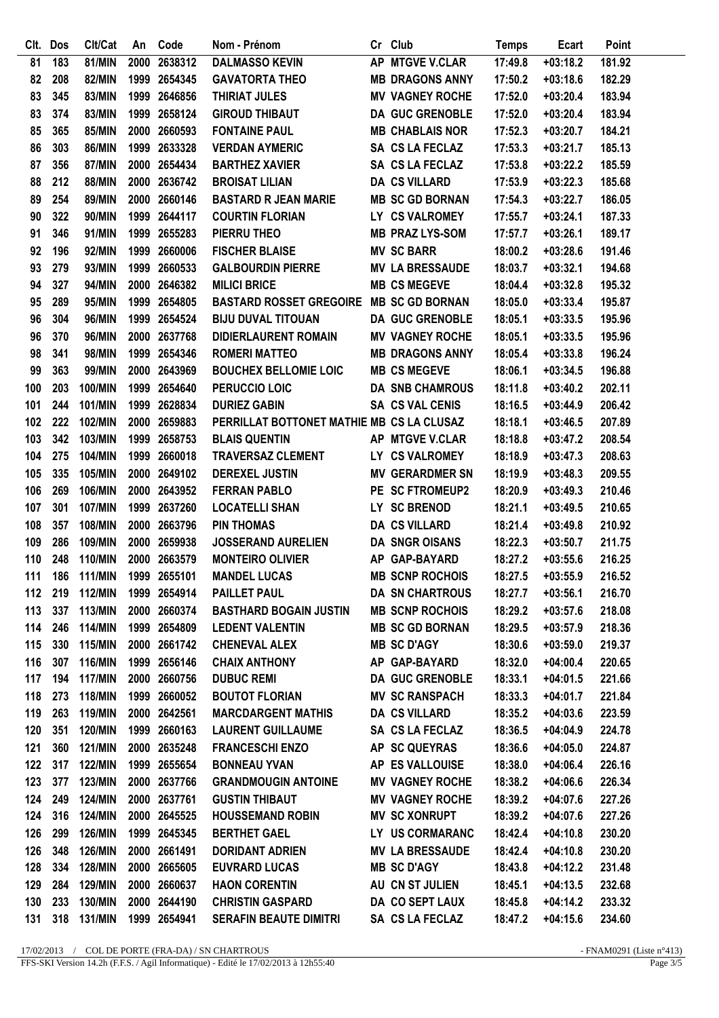| CIt.       | <b>Dos</b> | Clt/Cat        | An   | Code         | Nom - Prénom                              | Cr Club                | <b>Temps</b> | <b>Ecart</b> | Point  |
|------------|------------|----------------|------|--------------|-------------------------------------------|------------------------|--------------|--------------|--------|
| 81         | 183        | 81/MIN         |      | 2000 2638312 | <b>DALMASSO KEVIN</b>                     | AP MTGVE V.CLAR        | 17:49.8      | $+03:18.2$   | 181.92 |
| 82         | 208        | <b>82/MIN</b>  |      | 1999 2654345 | <b>GAVATORTA THEO</b>                     | <b>MB DRAGONS ANNY</b> | 17:50.2      | $+03:18.6$   | 182.29 |
| 83         | 345        | 83/MIN         |      | 1999 2646856 | <b>THIRIAT JULES</b>                      | <b>MV VAGNEY ROCHE</b> | 17:52.0      | $+03:20.4$   | 183.94 |
| 83         | 374        | 83/MIN         |      | 1999 2658124 | <b>GIROUD THIBAUT</b>                     | <b>DA GUC GRENOBLE</b> | 17:52.0      | $+03:20.4$   | 183.94 |
| 85         | 365        | 85/MIN         |      | 2000 2660593 | <b>FONTAINE PAUL</b>                      | <b>MB CHABLAIS NOR</b> | 17:52.3      | $+03:20.7$   | 184.21 |
| 86         | 303        | <b>86/MIN</b>  |      | 1999 2633328 | <b>VERDAN AYMERIC</b>                     | SA CS LA FECLAZ        | 17:53.3      | $+03:21.7$   | 185.13 |
| 87         | 356        | <b>87/MIN</b>  |      | 2000 2654434 | <b>BARTHEZ XAVIER</b>                     | SA CS LA FECLAZ        | 17:53.8      | $+03:22.2$   | 185.59 |
| 88         | 212        | 88/MIN         |      | 2000 2636742 | <b>BROISAT LILIAN</b>                     | <b>DA CS VILLARD</b>   | 17:53.9      | $+03:22.3$   | 185.68 |
| 89         | 254        | 89/MIN         |      | 2000 2660146 | <b>BASTARD R JEAN MARIE</b>               | <b>MB SC GD BORNAN</b> | 17:54.3      | $+03:22.7$   | 186.05 |
| 90         | 322        | 90/MIN         | 1999 | 2644117      | <b>COURTIN FLORIAN</b>                    | LY CS VALROMEY         | 17:55.7      | $+03:24.1$   | 187.33 |
| 91         | 346        | 91/MIN         |      | 1999 2655283 | PIERRU THEO                               | <b>MB PRAZ LYS-SOM</b> | 17:57.7      | $+03:26.1$   | 189.17 |
| 92         | 196        | 92/MIN         |      | 1999 2660006 | <b>FISCHER BLAISE</b>                     | <b>MV SC BARR</b>      | 18:00.2      | $+03:28.6$   | 191.46 |
| 93         | 279        | 93/MIN         | 1999 | 2660533      | <b>GALBOURDIN PIERRE</b>                  | <b>MV LA BRESSAUDE</b> | 18:03.7      | $+03:32.1$   | 194.68 |
| 94         | 327        | 94/MIN         |      | 2000 2646382 | <b>MILICI BRICE</b>                       | <b>MB CS MEGEVE</b>    | 18:04.4      | $+03:32.8$   | 195.32 |
| 95         | 289        | 95/MIN         |      | 1999 2654805 | <b>BASTARD ROSSET GREGOIRE</b>            | <b>MB SC GD BORNAN</b> | 18:05.0      | $+03:33.4$   | 195.87 |
| 96         | 304        | 96/MIN         |      | 1999 2654524 | <b>BIJU DUVAL TITOUAN</b>                 | <b>DA GUC GRENOBLE</b> | 18:05.1      | $+03:33.5$   | 195.96 |
| 96         | 370        | 96/MIN         |      | 2000 2637768 | <b>DIDIERLAURENT ROMAIN</b>               | <b>MV VAGNEY ROCHE</b> | 18:05.1      | $+03:33.5$   | 195.96 |
| 98         | 341        | 98/MIN         | 1999 | 2654346      | <b>ROMERI MATTEO</b>                      | <b>MB DRAGONS ANNY</b> | 18:05.4      | $+03:33.8$   | 196.24 |
| 99         | 363        | 99/MIN         |      | 2000 2643969 | <b>BOUCHEX BELLOMIE LOIC</b>              | <b>MB CS MEGEVE</b>    | 18:06.1      | $+03:34.5$   | 196.88 |
| 100        | 203        | 100/MIN        |      | 1999 2654640 | PERUCCIO LOIC                             | <b>DA SNB CHAMROUS</b> | 18:11.8      | $+03:40.2$   | 202.11 |
|            | 244        | 101/MIN        |      | 1999 2628834 | <b>DURIEZ GABIN</b>                       | <b>SA CS VAL CENIS</b> | 18:16.5      | $+03:44.9$   | 206.42 |
| 101<br>102 | 222        | 102/MIN        |      | 2000 2659883 | PERRILLAT BOTTONET MATHIE MB CS LA CLUSAZ |                        | 18:18.1      | $+03:46.5$   | 207.89 |
|            |            |                |      |              |                                           |                        |              |              |        |
| 103        | 342        | 103/MIN        |      | 1999 2658753 | <b>BLAIS QUENTIN</b>                      | AP MTGVE V.CLAR        | 18:18.8      | $+03:47.2$   | 208.54 |
| 104        | 275        | 104/MIN        | 1999 | 2660018      | <b>TRAVERSAZ CLEMENT</b>                  | LY CS VALROMEY         | 18:18.9      | $+03:47.3$   | 208.63 |
| 105        | 335        | 105/MIN        |      | 2000 2649102 | <b>DEREXEL JUSTIN</b>                     | <b>MV GERARDMER SN</b> | 18:19.9      | $+03:48.3$   | 209.55 |
| 106        | 269        | 106/MIN        |      | 2000 2643952 | <b>FERRAN PABLO</b>                       | PE SC FTROMEUP2        | 18:20.9      | $+03:49.3$   | 210.46 |
| 107        | 301        | <b>107/MIN</b> |      | 1999 2637260 | <b>LOCATELLI SHAN</b>                     | LY SC BRENOD           | 18:21.1      | $+03:49.5$   | 210.65 |
| 108        | 357        | 108/MIN        | 2000 | 2663796      | <b>PIN THOMAS</b>                         | <b>DA CS VILLARD</b>   | 18:21.4      | $+03:49.8$   | 210.92 |
| 109        | 286        | 109/MIN        | 2000 | 2659938      | <b>JOSSERAND AURELIEN</b>                 | <b>DA SNGR OISANS</b>  | 18:22.3      | $+03:50.7$   | 211.75 |
| 110        | 248        | 110/MIN        |      | 2000 2663579 | <b>MONTEIRO OLIVIER</b>                   | AP GAP-BAYARD          | 18:27.2      | $+03:55.6$   | 216.25 |
| 111        | 186        | <b>111/MIN</b> |      | 1999 2655101 | <b>MANDEL LUCAS</b>                       | <b>MB SCNP ROCHOIS</b> | 18:27.5      | $+03:55.9$   | 216.52 |
|            | 112 219    | <b>112/MIN</b> |      | 1999 2654914 | <b>PAILLET PAUL</b>                       | <b>DA SN CHARTROUS</b> | 18:27.7      | $+03:56.1$   | 216.70 |
| 113        | 337        | <b>113/MIN</b> |      | 2000 2660374 | <b>BASTHARD BOGAIN JUSTIN</b>             | <b>MB SCNP ROCHOIS</b> | 18:29.2      | $+03:57.6$   | 218.08 |
| 114 246    |            | <b>114/MIN</b> |      | 1999 2654809 | <b>LEDENT VALENTIN</b>                    | <b>MB SC GD BORNAN</b> | 18:29.5      | $+03:57.9$   | 218.36 |
| 115        | 330        | <b>115/MIN</b> |      | 2000 2661742 | <b>CHENEVAL ALEX</b>                      | <b>MB SC D'AGY</b>     | 18:30.6      | $+03:59.0$   | 219.37 |
| 116        | 307        | <b>116/MIN</b> |      | 1999 2656146 | <b>CHAIX ANTHONY</b>                      | AP GAP-BAYARD          | 18:32.0      | $+04:00.4$   | 220.65 |
|            | 117 194    | <b>117/MIN</b> |      | 2000 2660756 | <b>DUBUC REMI</b>                         | <b>DA GUC GRENOBLE</b> | 18:33.1      | $+04:01.5$   | 221.66 |
| 118        | 273        | <b>118/MIN</b> |      | 1999 2660052 | <b>BOUTOT FLORIAN</b>                     | <b>MV SC RANSPACH</b>  | 18:33.3      | $+04:01.7$   | 221.84 |
| 119        | 263        | <b>119/MIN</b> |      | 2000 2642561 | <b>MARCDARGENT MATHIS</b>                 | <b>DA CS VILLARD</b>   | 18:35.2      | $+04:03.6$   | 223.59 |
| 120        | 351        | <b>120/MIN</b> |      | 1999 2660163 | <b>LAURENT GUILLAUME</b>                  | SA CS LA FECLAZ        | 18:36.5      | $+04:04.9$   | 224.78 |
| 121        | 360        | <b>121/MIN</b> |      | 2000 2635248 | <b>FRANCESCHI ENZO</b>                    | AP SC QUEYRAS          | 18:36.6      | $+04:05.0$   | 224.87 |
|            | 122 317    | <b>122/MIN</b> |      | 1999 2655654 | <b>BONNEAU YVAN</b>                       | AP ES VALLOUISE        | 18:38.0      | $+04:06.4$   | 226.16 |
| 123        | 377        | <b>123/MIN</b> |      | 2000 2637766 | <b>GRANDMOUGIN ANTOINE</b>                | <b>MV VAGNEY ROCHE</b> | 18:38.2      | $+04:06.6$   | 226.34 |
| 124        | 249        | <b>124/MIN</b> |      | 2000 2637761 | <b>GUSTIN THIBAUT</b>                     | <b>MV VAGNEY ROCHE</b> | 18:39.2      | $+04:07.6$   | 227.26 |
| 124        | 316        | <b>124/MIN</b> |      | 2000 2645525 | <b>HOUSSEMAND ROBIN</b>                   | <b>MV SC XONRUPT</b>   | 18:39.2      | $+04:07.6$   | 227.26 |
| 126        | 299        | 126/MIN        |      | 1999 2645345 | <b>BERTHET GAEL</b>                       | LY US CORMARANC        | 18:42.4      | $+04:10.8$   | 230.20 |
| 126        | 348        | 126/MIN        |      | 2000 2661491 | <b>DORIDANT ADRIEN</b>                    | <b>MV LA BRESSAUDE</b> | 18:42.4      | $+04:10.8$   | 230.20 |
| 128        | 334        | <b>128/MIN</b> |      | 2000 2665605 | <b>EUVRARD LUCAS</b>                      | <b>MB SC D'AGY</b>     | 18:43.8      | $+04:12.2$   | 231.48 |
| 129        | 284        | <b>129/MIN</b> |      | 2000 2660637 | <b>HAON CORENTIN</b>                      | AU CN ST JULIEN        | 18:45.1      | $+04:13.5$   | 232.68 |
| 130        | 233        | 130/MIN        |      | 2000 2644190 | <b>CHRISTIN GASPARD</b>                   | DA CO SEPT LAUX        | 18:45.8      | $+04:14.2$   | 233.32 |
| 131        | 318        | 131/MIN        |      | 1999 2654941 | <b>SERAFIN BEAUTE DIMITRI</b>             | SA CS LA FECLAZ        | 18:47.2      | $+04:15.6$   | 234.60 |
|            |            |                |      |              |                                           |                        |              |              |        |

 $17/02/2013$  / COL DE PORTE (FRA-DA) / SN CHARTROUS FFS-SKI Version 14.2h (F.F.S. / Agil Informatique) - Edité le 17/02/2013 à 12h55:40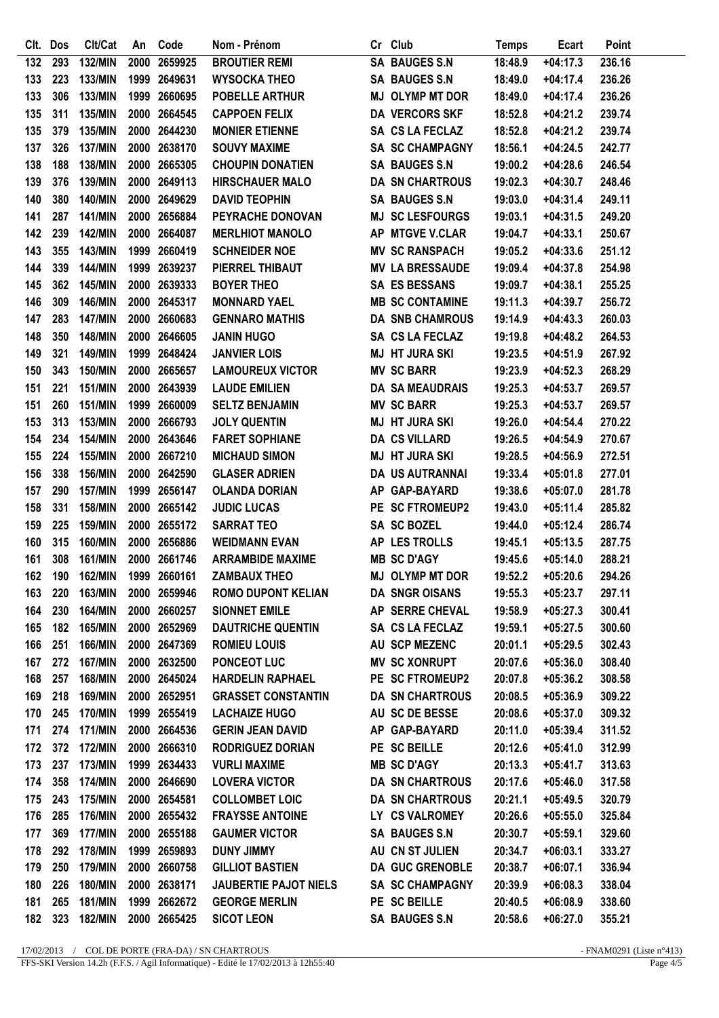|     | Clt. Dos | Clt/Cat        | An   | Code         | Nom - Prénom                 | Cr Club                | <b>Temps</b> | Ecart      | Point  |
|-----|----------|----------------|------|--------------|------------------------------|------------------------|--------------|------------|--------|
| 132 | 293      | 132/MIN        | 2000 | 2659925      | <b>BROUTIER REMI</b>         | <b>SA BAUGES S.N</b>   | 18:48.9      | $+04:17.3$ | 236.16 |
| 133 | 223      | 133/MIN        |      | 1999 2649631 | <b>WYSOCKA THEO</b>          | <b>SA BAUGES S.N</b>   | 18:49.0      | $+04:17.4$ | 236.26 |
| 133 | 306      | 133/MIN        |      | 1999 2660695 | POBELLE ARTHUR               | <b>MJ OLYMP MT DOR</b> | 18:49.0      | $+04:17.4$ | 236.26 |
| 135 | 311      | 135/MIN        |      | 2000 2664545 | <b>CAPPOEN FELIX</b>         | <b>DA VERCORS SKF</b>  | 18:52.8      | $+04:21.2$ | 239.74 |
| 135 | 379      | 135/MIN        |      | 2000 2644230 | <b>MONIER ETIENNE</b>        | SA CS LA FECLAZ        | 18:52.8      | $+04:21.2$ | 239.74 |
| 137 | 326      | <b>137/MIN</b> |      | 2000 2638170 | <b>SOUVY MAXIME</b>          | <b>SA SC CHAMPAGNY</b> | 18:56.1      | $+04:24.5$ | 242.77 |
| 138 | 188      | 138/MIN        |      | 2000 2665305 | <b>CHOUPIN DONATIEN</b>      | <b>SA BAUGES S.N</b>   | 19:00.2      | $+04:28.6$ | 246.54 |
| 139 | 376      | 139/MIN        |      | 2000 2649113 | <b>HIRSCHAUER MALO</b>       | <b>DA SN CHARTROUS</b> | 19:02.3      | $+04:30.7$ | 248.46 |
| 140 | 380      | 140/MIN        |      | 2000 2649629 | <b>DAVID TEOPHIN</b>         | <b>SA BAUGES S.N</b>   | 19:03.0      | $+04:31.4$ | 249.11 |
| 141 | 287      | <b>141/MIN</b> |      | 2000 2656884 | PEYRACHE DONOVAN             | <b>MJ SC LESFOURGS</b> | 19:03.1      | $+04:31.5$ | 249.20 |
| 142 | 239      | <b>142/MIN</b> |      | 2000 2664087 | <b>MERLHIOT MANOLO</b>       | AP MTGVE V.CLAR        | 19:04.7      | $+04:33.1$ | 250.67 |
| 143 | 355      | 143/MIN        |      | 1999 2660419 | <b>SCHNEIDER NOE</b>         | <b>MV SC RANSPACH</b>  | 19:05.2      | $+04:33.6$ | 251.12 |
| 144 | 339      | <b>144/MIN</b> |      | 1999 2639237 | PIERREL THIBAUT              | <b>MV LA BRESSAUDE</b> | 19:09.4      | $+04:37.8$ | 254.98 |
| 145 | 362      | <b>145/MIN</b> |      | 2000 2639333 | <b>BOYER THEO</b>            | <b>SA ES BESSANS</b>   | 19:09.7      | $+04:38.1$ | 255.25 |
| 146 | 309      | 146/MIN        |      | 2000 2645317 | <b>MONNARD YAEL</b>          | <b>MB SC CONTAMINE</b> | 19:11.3      | $+04:39.7$ | 256.72 |
| 147 | 283      | <b>147/MIN</b> |      | 2000 2660683 | <b>GENNARO MATHIS</b>        | <b>DA SNB CHAMROUS</b> | 19:14.9      | $+04:43.3$ | 260.03 |
| 148 | 350      | <b>148/MIN</b> |      | 2000 2646605 | <b>JANIN HUGO</b>            | SA CS LA FECLAZ        | 19:19.8      | $+04:48.2$ | 264.53 |
| 149 | 321      | 149/MIN        |      | 1999 2648424 | <b>JANVIER LOIS</b>          | <b>MJ HT JURA SKI</b>  | 19:23.5      | $+04:51.9$ | 267.92 |
| 150 | 343      | 150/MIN        |      | 2000 2665657 | <b>LAMOUREUX VICTOR</b>      | <b>MV SC BARR</b>      | 19:23.9      | $+04:52.3$ | 268.29 |
| 151 | 221      | 151/MIN        |      | 2000 2643939 | <b>LAUDE EMILIEN</b>         | <b>DA SA MEAUDRAIS</b> | 19:25.3      | $+04:53.7$ | 269.57 |
| 151 | 260      | <b>151/MIN</b> | 1999 | 2660009      | <b>SELTZ BENJAMIN</b>        | <b>MV SC BARR</b>      | 19:25.3      | $+04:53.7$ | 269.57 |
| 153 | 313      | 153/MIN        |      | 2000 2666793 | <b>JOLY QUENTIN</b>          | <b>MJ HT JURA SKI</b>  | 19:26.0      | $+04:54.4$ | 270.22 |
| 154 | 234      | <b>154/MIN</b> |      | 2000 2643646 | <b>FARET SOPHIANE</b>        | <b>DA CS VILLARD</b>   | 19:26.5      | $+04:54.9$ | 270.67 |
| 155 | 224      | 155/MIN        | 2000 | 2667210      | <b>MICHAUD SIMON</b>         | <b>MJ HT JURA SKI</b>  | 19:28.5      | $+04:56.9$ | 272.51 |
| 156 | 338      | 156/MIN        |      | 2000 2642590 | <b>GLASER ADRIEN</b>         | DA US AUTRANNAI        | 19:33.4      | $+05:01.8$ | 277.01 |
| 157 | 290      | <b>157/MIN</b> |      | 1999 2656147 | <b>OLANDA DORIAN</b>         | AP GAP-BAYARD          | 19:38.6      | $+05:07.0$ | 281.78 |
| 158 | 331      | 158/MIN        |      | 2000 2665142 | <b>JUDIC LUCAS</b>           | PE SC FTROMEUP2        | 19:43.0      | $+05:11.4$ | 285.82 |
| 159 | 225      | 159/MIN        |      | 2000 2655172 | <b>SARRAT TEO</b>            | <b>SA SC BOZEL</b>     | 19:44.0      | $+05:12.4$ | 286.74 |
| 160 | 315      | 160/MIN        |      | 2000 2656886 | <b>WEIDMANN EVAN</b>         | AP LES TROLLS          | 19:45.1      | $+05:13.5$ | 287.75 |
| 161 | 308      | 161/MIN        |      | 2000 2661746 | <b>ARRAMBIDE MAXIME</b>      | <b>MB SC D'AGY</b>     | 19:45.6      | $+05:14.0$ | 288.21 |
| 162 | 190      | <b>162/MIN</b> |      | 1999 2660161 | <b>ZAMBAUX THEO</b>          | <b>MJ OLYMP MT DOR</b> | 19:52.2      | $+05:20.6$ | 294.26 |
| 163 | 220      | 163/MIN        |      | 2000 2659946 | <b>ROMO DUPONT KELIAN</b>    | DA SNGR OISANS         | 19:55.3      | $+05:23.7$ | 297.11 |
| 164 | 230      | <b>164/MIN</b> |      | 2000 2660257 | <b>SIONNET EMILE</b>         | AP SERRE CHEVAL        | 19:58.9      | $+05:27.3$ | 300.41 |
| 165 | 182      | <b>165/MIN</b> |      | 2000 2652969 | <b>DAUTRICHE QUENTIN</b>     | SA CS LA FECLAZ        | 19:59.1      | $+05:27.5$ | 300.60 |
| 166 | 251      | 166/MIN        |      | 2000 2647369 | <b>ROMIEU LOUIS</b>          | AU SCP MEZENC          | 20:01.1      | $+05:29.5$ | 302.43 |
| 167 | 272      | <b>167/MIN</b> |      | 2000 2632500 | <b>PONCEOT LUC</b>           | <b>MV SC XONRUPT</b>   | 20:07.6      | $+05:36.0$ | 308.40 |
| 168 | 257      | 168/MIN        |      | 2000 2645024 | <b>HARDELIN RAPHAEL</b>      | PE SC FTROMEUP2        | 20:07.8      | $+05:36.2$ | 308.58 |
| 169 | 218      | 169/MIN        |      | 2000 2652951 | <b>GRASSET CONSTANTIN</b>    | <b>DA SN CHARTROUS</b> | 20:08.5      | $+05:36.9$ | 309.22 |
| 170 | 245      | 170/MIN        |      | 1999 2655419 | <b>LACHAIZE HUGO</b>         | AU SC DE BESSE         | 20:08.6      | $+05:37.0$ | 309.32 |
| 171 | 274      | <b>171/MIN</b> |      | 2000 2664536 | <b>GERIN JEAN DAVID</b>      | AP GAP-BAYARD          | 20:11.0      | $+05:39.4$ | 311.52 |
| 172 | 372      | <b>172/MIN</b> |      | 2000 2666310 | <b>RODRIGUEZ DORIAN</b>      | PE SC BEILLE           | 20:12.6      | $+05:41.0$ | 312.99 |
| 173 | 237      | 173/MIN        |      | 1999 2634433 | <b>VURLI MAXIME</b>          | <b>MB SC D'AGY</b>     | 20:13.3      | $+05:41.7$ | 313.63 |
| 174 | 358      | <b>174/MIN</b> |      | 2000 2646690 | <b>LOVERA VICTOR</b>         | <b>DA SN CHARTROUS</b> | 20:17.6      | $+05:46.0$ | 317.58 |
| 175 | 243      | <b>175/MIN</b> |      | 2000 2654581 | <b>COLLOMBET LOIC</b>        | <b>DA SN CHARTROUS</b> | 20:21.1      | $+05:49.5$ | 320.79 |
| 176 | 285      | 176/MIN        |      | 2000 2655432 | <b>FRAYSSE ANTOINE</b>       | LY CS VALROMEY         | 20:26.6      | $+05:55.0$ | 325.84 |
| 177 | 369      | <b>177/MIN</b> |      | 2000 2655188 | <b>GAUMER VICTOR</b>         | <b>SA BAUGES S.N</b>   | 20:30.7      | $+05:59.1$ | 329.60 |
| 178 | 292      | <b>178/MIN</b> |      | 1999 2659893 | <b>DUNY JIMMY</b>            | AU CN ST JULIEN        | 20:34.7      | $+06:03.1$ | 333.27 |
| 179 | 250      | 179/MIN        |      | 2000 2660758 | <b>GILLIOT BASTIEN</b>       | <b>DA GUC GRENOBLE</b> | 20:38.7      | $+06:07.1$ | 336.94 |
| 180 | 226      | 180/MIN        |      | 2000 2638171 | <b>JAUBERTIE PAJOT NIELS</b> | <b>SA SC CHAMPAGNY</b> | 20:39.9      | $+06:08.3$ | 338.04 |
| 181 | 265      | <b>181/MIN</b> |      | 1999 2662672 | <b>GEORGE MERLIN</b>         | PE SC BEILLE           | 20:40.5      | $+06:08.9$ | 338.60 |
| 182 | 323      | <b>182/MIN</b> |      | 2000 2665425 | <b>SICOT LEON</b>            | SA BAUGES S.N          | 20:58.6      | $+06:27.0$ | 355.21 |
|     |          |                |      |              |                              |                        |              |            |        |

 $17/02/2013$  / COL DE PORTE (FRA-DA) / SN CHARTROUS FFS-SKI Version 14.2h (F.F.S. / Agil Informatique) - Edité le 17/02/2013 à 12h55:40

- FNAM0291 (Liste n°413)<br>Page  $4/5$